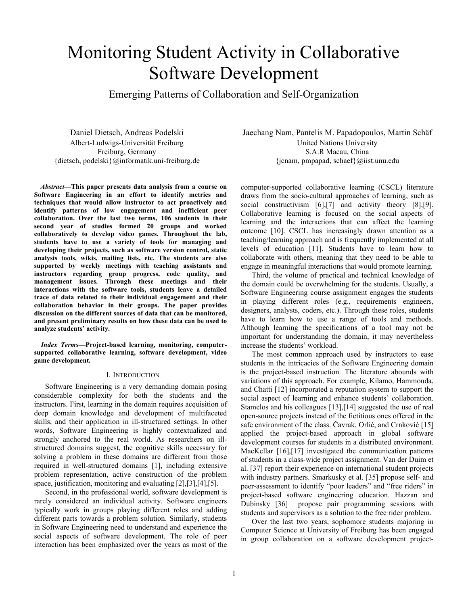# Monitoring Student Activity in Collaborative Software Development

Emerging Patterns of Collaboration and Self-Organization

Daniel Dietsch, Andreas Podelski Albert-Ludwigs-Universität Freiburg Freiburg, Germany {dietsch, podelski}@informatik.uni-freiburg.de

*Abstract***—This paper presents data analysis from a course on Software Engineering in an effort to identify metrics and techniques that would allow instructor to act proactively and identify patterns of low engagement and inefficient peer collaboration. Over the last two terms, 106 students in their second year of studies formed 20 groups and worked collaboratively to develop video games. Throughout the lab, students have to use a variety of tools for managing and developing their projects, such as software version control, static analysis tools, wikis, mailing lists, etc. The students are also supported by weekly meetings with teaching assistants and instructors regarding group progress, code quality, and management issues. Through these meetings and their interactions with the software tools, students leave a detailed trace of data related to their individual engagement and their collaboration behavior in their groups. The paper provides discussion on the different sources of data that can be monitored, and present preliminary results on how these data can be used to analyze students' activity.**

*Index Terms***—Project-based learning, monitoring, computersupported collaborative learning, software development, video game development.**

#### I. INTRODUCTION

Software Engineering is a very demanding domain posing considerable complexity for both the students and the instructors. First, learning in the domain requires acquisition of deep domain knowledge and development of multifaceted skills, and their application in ill-structured settings. In other words, Software Engineering is highly contextualized and strongly anchored to the real world. As researchers on illstructured domains suggest, the cognitive skills necessary for solving a problem in these domains are different from those required in well-structured domains [1], including extensive problem representation, active construction of the problem space, justification, monitoring and evaluating [2],[3],[4],[5].

Second, in the professional world, software development is rarely considered an individual activity. Software engineers typically work in groups playing different roles and adding different parts towards a problem solution. Similarly, students in Software Engineering need to understand and experience the social aspects of software development. The role of peer interaction has been emphasized over the years as most of the

Jaechang Nam, Pantelis M. Papadopoulos, Martin Schäf United Nations University S.A.R Macau, China  $\{j\ncanm, pmpapad, schaef\}\omega_{j}$ iist.unu.edu

computer-supported collaborative learning (CSCL) literature draws from the socio-cultural approaches of learning, such as social constructivism [6],[7] and activity theory [8],[9]. Collaborative learning is focused on the social aspects of learning and the interactions that can affect the learning outcome [10]. CSCL has increasingly drawn attention as a teaching/learning approach and is frequently implemented at all levels of education [11]. Students have to learn how to collaborate with others, meaning that they need to be able to engage in meaningful interactions that would promote learning.

Third, the volume of practical and technical knowledge of the domain could be overwhelming for the students. Usually, a Software Engineering course assignment engages the students in playing different roles (e.g., requirements engineers, designers, analysts, coders, etc.). Through these roles, students have to learn how to use a range of tools and methods. Although learning the specifications of a tool may not be important for understanding the domain, it may nevertheless increase the students' workload.

The most common approach used by instructors to ease students in the intricacies of the Software Engineering domain is the project-based instruction. The literature abounds with variations of this approach. For example, Kilamo, Hammouda, and Chatti [12] incorporated a reputation system to support the social aspect of learning and enhance students' collaboration. Stamelos and his colleagues [13],[14] suggested the use of real open-source projects instead of the fictitious ones offered in the safe environment of the class. Čavrak, Orlić, and Crnković [15] applied the project-based approach in global software development courses for students in a distributed environment. MacKellar [16],[17] investigated the communication patterns of students in a class-wide project assignment. Van der Duim et al. [37] report their experience on international student projects with industry partners. Smarkusky et al. [35] propose self- and peer-assessment to identify "poor leaders" and "free riders" in project-based software engineering education. Hazzan and Dubinsky [36] propose pair programming sessions with students and supervisors as a solution to the free rider problem.

Over the last two years, sophomore students majoring in Computer Science at University of Freiburg has been engaged in group collaboration on a software development project-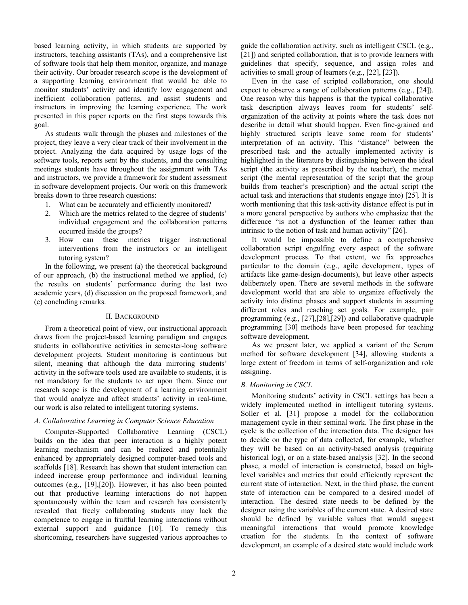based learning activity, in which students are supported by instructors, teaching assistants (TAs), and a comprehensive list of software tools that help them monitor, organize, and manage their activity. Our broader research scope is the development of a supporting learning environment that would be able to monitor students' activity and identify low engagement and inefficient collaboration patterns, and assist students and instructors in improving the learning experience. The work presented in this paper reports on the first steps towards this goal.

As students walk through the phases and milestones of the project, they leave a very clear track of their involvement in the project. Analyzing the data acquired by usage logs of the software tools, reports sent by the students, and the consulting meetings students have throughout the assignment with TAs and instructors, we provide a framework for student assessment in software development projects. Our work on this framework breaks down to three research questions:

- 1. What can be accurately and efficiently monitored?
- 2. Which are the metrics related to the degree of students' individual engagement and the collaboration patterns occurred inside the groups?
- 3. How can these metrics trigger instructional interventions from the instructors or an intelligent tutoring system?

In the following, we present (a) the theoretical background of our approach, (b) the instructional method we applied, (c) the results on students' performance during the last two academic years, (d) discussion on the proposed framework, and (e) concluding remarks.

#### II. BACKGROUND

From a theoretical point of view, our instructional approach draws from the project-based learning paradigm and engages students in collaborative activities in semester-long software development projects. Student monitoring is continuous but silent, meaning that although the data mirroring students' activity in the software tools used are available to students, it is not mandatory for the students to act upon them. Since our research scope is the development of a learning environment that would analyze and affect students' activity in real-time, our work is also related to intelligent tutoring systems.

# *A. Collaborative Learning in Computer Science Education*

Computer-Supported Collaborative Learning (CSCL) builds on the idea that peer interaction is a highly potent learning mechanism and can be realized and potentially enhanced by appropriately designed computer-based tools and scaffolds [18]. Research has shown that student interaction can indeed increase group performance and individual learning outcomes (e.g., [19],[20]). However, it has also been pointed out that productive learning interactions do not happen spontaneously within the team and research has consistently revealed that freely collaborating students may lack the competence to engage in fruitful learning interactions without external support and guidance [10]. To remedy this shortcoming, researchers have suggested various approaches to

guide the collaboration activity, such as intelligent CSCL (e.g., [21]) and scripted collaboration, that is to provide learners with guidelines that specify, sequence, and assign roles and activities to small group of learners (e.g., [22], [23]).

Even in the case of scripted collaboration, one should expect to observe a range of collaboration patterns (e.g., [24]). One reason why this happens is that the typical collaborative task description always leaves room for students' selforganization of the activity at points where the task does not describe in detail what should happen. Even fine-grained and highly structured scripts leave some room for students' interpretation of an activity. This "distance" between the prescribed task and the actually implemented activity is highlighted in the literature by distinguishing between the ideal script (the activity as prescribed by the teacher), the mental script (the mental representation of the script that the group builds from teacher's prescription) and the actual script (the actual task and interactions that students engage into) [25]. It is worth mentioning that this task-activity distance effect is put in a more general perspective by authors who emphasize that the difference "is not a dysfunction of the learner rather than intrinsic to the notion of task and human activity" [26].

It would be impossible to define a comprehensive collaboration script engulfing every aspect of the software development process. To that extent, we fix approaches particular to the domain (e.g., agile development, types of artifacts like game-design-documents), but leave other aspects deliberately open. There are several methods in the software development world that are able to organize effectively the activity into distinct phases and support students in assuming different roles and reaching set goals. For example, pair programming (e.g., [27],[28],[29]) and collaborative quadruple programming [30] methods have been proposed for teaching software development.

As we present later, we applied a variant of the Scrum method for software development [34], allowing students a large extent of freedom in terms of self-organization and role assigning.

# *B. Monitoring in CSCL*

Monitoring students' activity in CSCL settings has been a widely implemented method in intelligent tutoring systems. Soller et al. [31] propose a model for the collaboration management cycle in their seminal work. The first phase in the cycle is the collection of the interaction data. The designer has to decide on the type of data collected, for example, whether they will be based on an activity-based analysis (requiring historical log), or on a state-based analysis [32]. In the second phase, a model of interaction is constructed, based on highlevel variables and metrics that could efficiently represent the current state of interaction. Next, in the third phase, the current state of interaction can be compared to a desired model of interaction. The desired state needs to be defined by the designer using the variables of the current state. A desired state should be defined by variable values that would suggest meaningful interactions that would promote knowledge creation for the students. In the context of software development, an example of a desired state would include work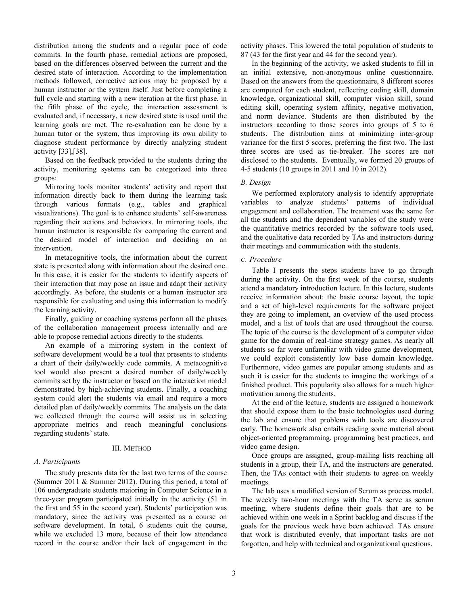distribution among the students and a regular pace of code commits. In the fourth phase, remedial actions are proposed, based on the differences observed between the current and the desired state of interaction. According to the implementation methods followed, corrective actions may be proposed by a human instructor or the system itself. Just before completing a full cycle and starting with a new iteration at the first phase, in the fifth phase of the cycle, the interaction assessment is evaluated and, if necessary, a new desired state is used until the learning goals are met. The re-evaluation can be done by a human tutor or the system, thus improving its own ability to diagnose student performance by directly analyzing student activity [33],[38].

Based on the feedback provided to the students during the activity, monitoring systems can be categorized into three groups:

Mirroring tools monitor students' activity and report that information directly back to them during the learning task through various formats (e.g., tables and graphical visualizations). The goal is to enhance students' self-awareness regarding their actions and behaviors. In mirroring tools, the human instructor is responsible for comparing the current and the desired model of interaction and deciding on an intervention.

In metacognitive tools, the information about the current state is presented along with information about the desired one. In this case, it is easier for the students to identify aspects of their interaction that may pose an issue and adapt their activity accordingly. As before, the students or a human instructor are responsible for evaluating and using this information to modify the learning activity.

Finally, guiding or coaching systems perform all the phases of the collaboration management process internally and are able to propose remedial actions directly to the students.

An example of a mirroring system in the context of software development would be a tool that presents to students a chart of their daily/weekly code commits. A metacognitive tool would also present a desired number of daily/weekly commits set by the instructor or based on the interaction model demonstrated by high-achieving students. Finally, a coaching system could alert the students via email and require a more detailed plan of daily/weekly commits. The analysis on the data we collected through the course will assist us in selecting appropriate metrics and reach meaningful conclusions regarding students' state.

#### III. METHOD

#### *A. Participants*

The study presents data for the last two terms of the course (Summer 2011 & Summer 2012). During this period, a total of 106 undergraduate students majoring in Computer Science in a three-year program participated initially in the activity (51 in the first and 55 in the second year). Students' participation was mandatory, since the activity was presented as a course on software development. In total, 6 students quit the course, while we excluded 13 more, because of their low attendance record in the course and/or their lack of engagement in the activity phases. This lowered the total population of students to 87 (43 for the first year and 44 for the second year).

In the beginning of the activity, we asked students to fill in an initial extensive, non-anonymous online questionnaire. Based on the answers from the questionnaire, 8 different scores are computed for each student, reflecting coding skill, domain knowledge, organizational skill, computer vision skill, sound editing skill, operating system affinity, negative motivation, and norm deviance. Students are then distributed by the instructors according to those scores into groups of 5 to 6 students. The distribution aims at minimizing inter-group variance for the first 5 scores, preferring the first two. The last three scores are used as tie-breaker. The scores are not disclosed to the students. Eventually, we formed 20 groups of 4-5 students (10 groups in 2011 and 10 in 2012).

## *B. Design*

We performed exploratory analysis to identify appropriate variables to analyze students' patterns of individual engagement and collaboration. The treatment was the same for all the students and the dependent variables of the study were the quantitative metrics recorded by the software tools used, and the qualitative data recorded by TAs and instructors during their meetings and communication with the students.

#### *C. Procedure*

Table I presents the steps students have to go through during the activity. On the first week of the course, students attend a mandatory introduction lecture. In this lecture, students receive information about: the basic course layout, the topic and a set of high-level requirements for the software project they are going to implement, an overview of the used process model, and a list of tools that are used throughout the course. The topic of the course is the development of a computer video game for the domain of real-time strategy games. As nearly all students so far were unfamiliar with video game development, we could exploit consistently low base domain knowledge. Furthermore, video games are popular among students and as such it is easier for the students to imagine the workings of a finished product. This popularity also allows for a much higher motivation among the students.

At the end of the lecture, students are assigned a homework that should expose them to the basic technologies used during the lab and ensure that problems with tools are discovered early. The homework also entails reading some material about object-oriented programming, programming best practices, and video game design.

Once groups are assigned, group-mailing lists reaching all students in a group, their TA, and the instructors are generated. Then, the TAs contact with their students to agree on weekly meetings.

The lab uses a modified version of Scrum as process model. The weekly two-hour meetings with the TA serve as scrum meeting, where students define their goals that are to be achieved within one week in a Sprint backlog and discuss if the goals for the previous week have been achieved. TAs ensure that work is distributed evenly, that important tasks are not forgotten, and help with technical and organizational questions.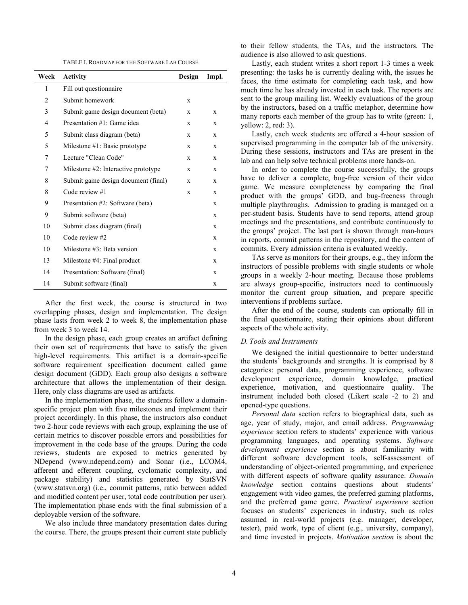TABLE I. ROADMAP FOR THE SOFTWARE LAB COURSE

| Week | <b>Activity</b>                        | Design      | Impl.       |
|------|----------------------------------------|-------------|-------------|
| 1    | Fill out questionnaire                 |             |             |
| 2    | Submit homework                        | X           |             |
| 3    | Submit game design document (beta)     | X           | X           |
| 4    | Presentation #1: Game idea             | X           | X           |
| 5    | Submit class diagram (beta)            | X           | X           |
| 5    | Milestone $#1$ : Basic prototype       | X           | X           |
| 7    | Lecture "Clean Code"                   | $\mathbf x$ | $\mathbf x$ |
| 7    | Milestone $#2$ : Interactive prototype | X           | X           |
| 8    | Submit game design document (final)    | X           | X           |
| 8    | Code review #1                         | X           | X           |
| 9    | Presentation #2: Software (beta)       |             | X           |
| 9    | Submit software (beta)                 |             | X           |
| 10   | Submit class diagram (final)           |             | X           |
| 10   | Code review #2                         |             | X           |
| 10   | Milestone $#3$ : Beta version          |             | X           |
| 13   | Milestone #4: Final product            |             | X           |
| 14   | Presentation: Software (final)         |             | X           |
| 14   | Submit software (final)                |             | X           |

After the first week, the course is structured in two overlapping phases, design and implementation. The design phase lasts from week 2 to week 8, the implementation phase from week 3 to week 14.

In the design phase, each group creates an artifact defining their own set of requirements that have to satisfy the given high-level requirements. This artifact is a domain-specific software requirement specification document called game design document (GDD). Each group also designs a software architecture that allows the implementation of their design. Here, only class diagrams are used as artifacts.

In the implementation phase, the students follow a domainspecific project plan with five milestones and implement their project accordingly. In this phase, the instructors also conduct two 2-hour code reviews with each group, explaining the use of certain metrics to discover possible errors and possibilities for improvement in the code base of the groups. During the code reviews, students are exposed to metrics generated by NDepend (www.ndepend.com) and Sonar (i.e., LCOM4, afferent and efferent coupling, cyclomatic complexity, and package stability) and statistics generated by StatSVN (www.statsvn.org) (i.e., commit patterns, ratio between added and modified content per user, total code contribution per user). The implementation phase ends with the final submission of a deployable version of the software.

We also include three mandatory presentation dates during the course. There, the groups present their current state publicly

to their fellow students, the TAs, and the instructors. The audience is also allowed to ask questions.

Lastly, each student writes a short report 1-3 times a week presenting: the tasks he is currently dealing with, the issues he faces, the time estimate for completing each task, and how much time he has already invested in each task. The reports are sent to the group mailing list. Weekly evaluations of the group by the instructors, based on a traffic metaphor, determine how many reports each member of the group has to write (green: 1, yellow: 2, red: 3).

Lastly, each week students are offered a 4-hour session of supervised programming in the computer lab of the university. During these sessions, instructors and TAs are present in the lab and can help solve technical problems more hands-on.

In order to complete the course successfully, the groups have to deliver a complete, bug-free version of their video game. We measure completeness by comparing the final product with the groups' GDD, and bug-freeness through multiple playthroughs. Admission to grading is managed on a per-student basis. Students have to send reports, attend group meetings and the presentations, and contribute continuously to the groups' project. The last part is shown through man-hours in reports, commit patterns in the repository, and the content of commits. Every admission criteria is evaluated weekly.

TAs serve as monitors for their groups, e.g., they inform the instructors of possible problems with single students or whole groups in a weekly 2-hour meeting. Because those problems are always group-specific, instructors need to continuously monitor the current group situation, and prepare specific interventions if problems surface.

After the end of the course, students can optionally fill in the final questionnaire, stating their opinions about different aspects of the whole activity.

## *D. Tools and Instruments*

We designed the initial questionnaire to better understand the students' backgrounds and strengths. It is comprised by 8 categories: personal data, programming experience, software development experience, domain knowledge, practical experience, motivation, and questionnaire quality. The instrument included both closed (Likert scale -2 to 2) and opened-type questions.

*Personal data* section refers to biographical data, such as age, year of study, major, and email address. *Programming experience* section refers to students' experience with various programming languages, and operating systems. *Software development experience* section is about familiarity with different software development tools, self-assessment of understanding of object-oriented programming, and experience with different aspects of software quality assurance. *Domain knowledge* section contains questions about students' engagement with video games, the preferred gaming platforms, and the preferred game genre. *Practical experience* section focuses on students' experiences in industry, such as roles assumed in real-world projects (e.g. manager, developer, tester), paid work, type of client (e.g., university, company), and time invested in projects. *Motivation section* is about the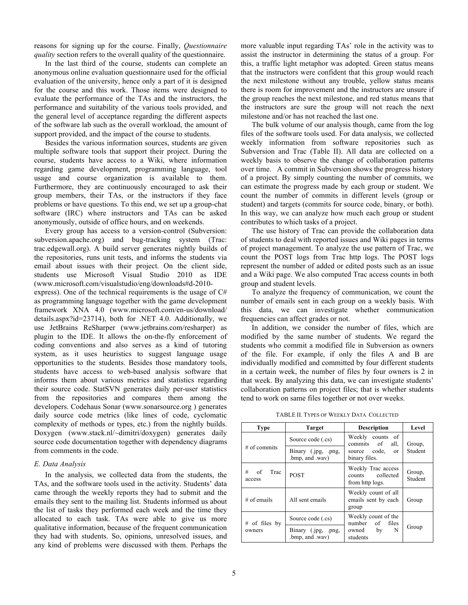reasons for signing up for the course. Finally, *Questionnaire quality* section refers to the overall quality of the questionnaire.

In the last third of the course, students can complete an anonymous online evaluation questionnaire used for the official evaluation of the university, hence only a part of it is designed for the course and this work. Those items were designed to evaluate the performance of the TAs and the instructors, the performance and suitability of the various tools provided, and the general level of acceptance regarding the different aspects of the software lab such as the overall workload, the amount of support provided, and the impact of the course to students.

Besides the various information sources, students are given multiple software tools that support their project. During the course, students have access to a Wiki, where information regarding game development, programming language, tool usage and course organization is available to them. Furthermore, they are continuously encouraged to ask their group members, their TAs, or the instructors if they face problems or have questions. To this end, we set up a group-chat software (IRC) where instructors and TAs can be asked anonymously, outside of office hours, and on weekends.

Every group has access to a version-control (Subversion: subversion.apache.org) and bug-tracking system (Trac: trac.edgewall.org). A build server generates nightly builds of the repositories, runs unit tests, and informs the students via email about issues with their project. On the client side, students use Microsoft Visual Studio 2010 as IDE (www.microsoft.com/visualstudio/eng/downloads#d-2010-

express). One of the technical requirements is the usage of  $C#$ as programming language together with the game development framework XNA 4.0 (www.microsoft.com/en-us/download/ details.aspx?id=23714), both for .NET 4.0. Additionally, we use JetBrains ReSharper (www.jetbrains.com/resharper) as plugin to the IDE. It allows the on-the-fly enforcement of coding conventions and also serves as a kind of tutoring system, as it uses heuristics to suggest language usage opportunities to the students. Besides those mandatory tools, students have access to web-based analysis software that informs them about various metrics and statistics regarding their source code. StatSVN generates daily per-user statistics from the repositories and compares them among the developers. Codehaus Sonar (www.sonarsource.org ) generates daily source code metrics (like lines of code, cyclomatic complexity of methods or types, etc.) from the nightly builds. Doxygen (www.stack.nl/~dimitri/doxygen) generates daily source code documentation together with dependency diagrams from comments in the code.

## *E. Data Analysis*

In the analysis, we collected data from the students, the TAs, and the software tools used in the activity. Students' data came through the weekly reports they had to submit and the emails they sent to the mailing list. Students informed us about the list of tasks they performed each week and the time they allocated to each task. TAs were able to give us more qualitative information, because of the frequent communication they had with students. So, opinions, unresolved issues, and any kind of problems were discussed with them. Perhaps the

more valuable input regarding TAs' role in the activity was to assist the instructor in determining the status of a group. For this, a traffic light metaphor was adopted. Green status means that the instructors were confident that this group would reach the next milestone without any trouble, yellow status means there is room for improvement and the instructors are unsure if the group reaches the next milestone, and red status means that the instructors are sure the group will not reach the next milestone and/or has not reached the last one.

The bulk volume of our analysis though, came from the log files of the software tools used. For data analysis, we collected weekly information from software repositories such as Subversion and Trac (Table II). All data are collected on a weekly basis to observe the change of collaboration patterns over time. A commit in Subversion shows the progress history of a project. By simply counting the number of commits, we can estimate the progress made by each group or student. We count the number of commits in different levels (group or student) and targets (commits for source code, binary, or both). In this way, we can analyze how much each group or student contributes to which tasks of a project.

The use history of Trac can provide the collaboration data of students to deal with reported issues and Wiki pages in terms of project management. To analyze the use pattern of Trac, we count the POST logs from Trac http logs. The POST logs represent the number of added or edited posts such as an issue and a Wiki page. We also computed Trac access counts in both group and student levels.

To analyze the frequency of communication, we count the number of emails sent in each group on a weekly basis. With this data, we can investigate whether communication frequencies can affect grades or not.

In addition, we consider the number of files, which are modified by the same number of students. We regard the students who commit a modified file in Subversion as owners of the file. For example, if only the files A and B are individually modified and committed by four different students in a certain week, the number of files by four owners is 2 in that week. By analyzing this data, we can investigate students' collaboration patterns on project files; that is whether students tend to work on same files together or not over weeks.

TABLE II. TYPES OF WEEKLY DATA COLLECTED

| <b>Type</b>               | <b>Target</b>                          | <b>Description</b>                                        | Level             |  |
|---------------------------|----------------------------------------|-----------------------------------------------------------|-------------------|--|
|                           | Source code (.cs)                      | Weekly<br>counts of<br>of<br>commits<br>all,              | Group,<br>Student |  |
| $#$ of commits            | Binary (.jpg, .png,<br>.bmp, and .wav) | source code,<br>or<br>binary files.                       |                   |  |
| #<br>of<br>Trac<br>access | <b>POST</b>                            | Weekly Trac access<br>counts collected<br>from http logs. | Group,<br>Student |  |
| $#$ of emails             | All sent emails                        | Weekly count of all<br>emails sent by each<br>group       | Group             |  |
| $#$ of files by           | Source code (.cs)                      | Weekly count of the<br>number of files                    | Group             |  |
| owners                    | Binary (.jpg, .png,<br>.bmp, and .wav) | owned<br>by<br>N<br>students                              |                   |  |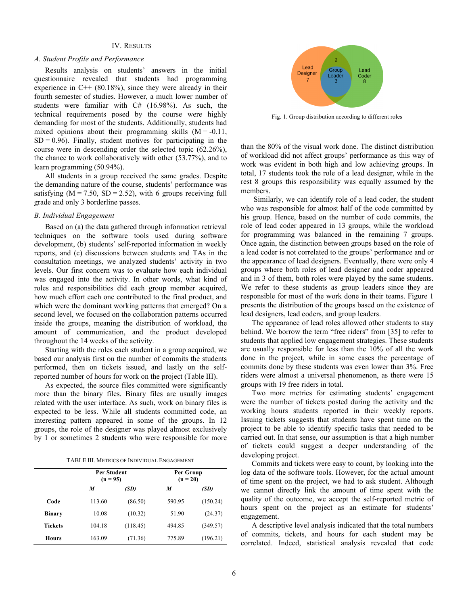#### IV. RESULTS

#### *A. Student Profile and Performance*

Results analysis on students' answers in the initial questionnaire revealed that students had programming experience in  $C++ (80.18\%)$ , since they were already in their fourth semester of studies. However, a much lower number of students were familiar with C# (16.98%). As such, the technical requirements posed by the course were highly demanding for most of the students. Additionally, students had mixed opinions about their programming skills  $(M = -0.11)$ ,  $SD = 0.96$ . Finally, student motives for participating in the course were in descending order the selected topic (62.26%), the chance to work collaboratively with other (53.77%), and to learn programming (50.94%).

All students in a group received the same grades. Despite the demanding nature of the course, students' performance was satisfying  $(M = 7.50, SD = 2.52)$ , with 6 groups receiving full grade and only 3 borderline passes.

## *B. Individual Engagement*

Based on (a) the data gathered through information retrieval techniques on the software tools used during software development, (b) students' self-reported information in weekly reports, and (c) discussions between students and TAs in the consultation meetings, we analyzed students' activity in two levels. Our first concern was to evaluate how each individual was engaged into the activity. In other words, what kind of roles and responsibilities did each group member acquired, how much effort each one contributed to the final product, and which were the dominant working patterns that emerged? On a second level, we focused on the collaboration patterns occurred inside the groups, meaning the distribution of workload, the amount of communication, and the product developed throughout the 14 weeks of the activity.

Starting with the roles each student in a group acquired, we based our analysis first on the number of commits the students performed, then on tickets issued, and lastly on the selfreported number of hours for work on the project (Table III).

As expected, the source files committed were significantly more than the binary files. Binary files are usually images related with the user interface. As such, work on binary files is expected to be less. While all students committed code, an interesting pattern appeared in some of the groups. In 12 groups, the role of the designer was played almost exclusively by 1 or sometimes 2 students who were responsible for more

TABLE III. METRICS OF INDIVIDUAL ENGAGEMENT

|                | <b>Per Student</b><br>$(n = 95)$ |          | Per Group<br>$(n = 20)$ |          |
|----------------|----------------------------------|----------|-------------------------|----------|
|                | M                                | (SD)     | M                       | (SD)     |
| Code           | 113.60                           | (86.50)  | 590.95                  | (150.24) |
| <b>Binary</b>  | 10.08                            | (10.32)  | 51.90                   | (24.37)  |
| <b>Tickets</b> | 104.18                           | (118.45) | 494.85                  | (349.57) |
| <b>Hours</b>   | 163.09                           | (71.36)  | 775.89                  | (196.21) |



Fig. 1. Group distribution according to different roles

than the 80% of the visual work done. The distinct distribution of workload did not affect groups' performance as this way of work was evident in both high and low achieving groups. In total, 17 students took the role of a lead designer, while in the rest 8 groups this responsibility was equally assumed by the members.

Similarly, we can identify role of a lead coder, the student who was responsible for almost half of the code committed by his group. Hence, based on the number of code commits, the role of lead coder appeared in 13 groups, while the workload for programming was balanced in the remaining 7 groups. Once again, the distinction between groups based on the role of a lead coder is not correlated to the groups' performance and or the appearance of lead designers. Eventually, there were only 4 groups where both roles of lead designer and coder appeared and in 3 of them, both roles were played by the same students. We refer to these students as group leaders since they are responsible for most of the work done in their teams. Figure 1 presents the distribution of the groups based on the existence of lead designers, lead coders, and group leaders.

The appearance of lead roles allowed other students to stay behind. We borrow the term "free riders" from [35] to refer to students that applied low engagement strategies. These students are usually responsible for less than the 10% of all the work done in the project, while in some cases the percentage of commits done by these students was even lower than 3%. Free riders were almost a universal phenomenon, as there were 15 groups with 19 free riders in total.

Two more metrics for estimating students' engagement were the number of tickets posted during the activity and the working hours students reported in their weekly reports. Issuing tickets suggests that students have spent time on the project to be able to identify specific tasks that needed to be carried out. In that sense, our assumption is that a high number of tickets could suggest a deeper understanding of the developing project.

Commits and tickets were easy to count, by looking into the log data of the software tools. However, for the actual amount of time spent on the project, we had to ask student. Although we cannot directly link the amount of time spent with the quality of the outcome, we accept the self-reported metric of hours spent on the project as an estimate for students' engagement.

A descriptive level analysis indicated that the total numbers of commits, tickets, and hours for each student may be correlated. Indeed, statistical analysis revealed that code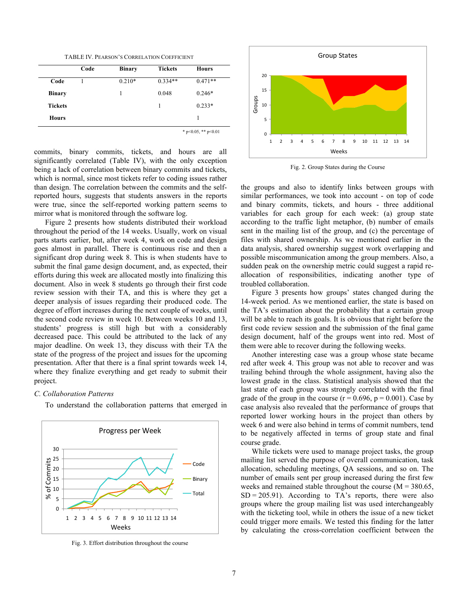TABLE IV. PEARSON'S CORRELATION COEFFICIENT

|                | Code | <b>Binary</b> | <b>Tickets</b> | <b>Hours</b> |
|----------------|------|---------------|----------------|--------------|
| Code           |      | $0.210*$      | $0.334**$      | $0.471**$    |
| <b>Binary</b>  |      |               | 0.048          | $0.246*$     |
| <b>Tickets</b> |      |               | 1              | $0.233*$     |
| <b>Hours</b>   |      |               |                |              |

\* p<0.05, \*\* p<0.01

commits, binary commits, tickets, and hours are all significantly correlated (Table IV), with the only exception being a lack of correlation between binary commits and tickets, which is normal, since most tickets refer to coding issues rather than design. The correlation between the commits and the selfreported hours, suggests that students answers in the reports were true, since the self-reported working pattern seems to mirror what is monitored through the software log.

Figure 2 presents how students distributed their workload throughout the period of the 14 weeks. Usually, work on visual parts starts earlier, but, after week 4, work on code and design goes almost in parallel. There is continuous rise and then a significant drop during week 8. This is when students have to submit the final game design document, and, as expected, their efforts during this week are allocated mostly into finalizing this document. Also in week 8 students go through their first code review session with their TA, and this is where they get a deeper analysis of issues regarding their produced code. The degree of effort increases during the next couple of weeks, until the second code review in week 10. Between weeks 10 and 13, students' progress is still high but with a considerably decreased pace. This could be attributed to the lack of any major deadline. On week 13, they discuss with their TA the state of the progress of the project and issues for the upcoming presentation. After that there is a final sprint towards week 14, where they finalize everything and get ready to submit their project.

#### *C. Collaboration Patterns*

To understand the collaboration patterns that emerged in



Fig. 3. Effort distribution throughout the course



Fig. 2. Group States during the Course

the groups and also to identify links between groups with similar performances, we took into account - on top of code and binary commits, tickets, and hours - three additional variables for each group for each week: (a) group state according to the traffic light metaphor, (b) number of emails sent in the mailing list of the group, and (c) the percentage of files with shared ownership. As we mentioned earlier in the data analysis, shared ownership suggest work overlapping and possible miscommunication among the group members. Also, a sudden peak on the ownership metric could suggest a rapid reallocation of responsibilities, indicating another type of troubled collaboration.

Figure 3 presents how groups' states changed during the 14-week period. As we mentioned earlier, the state is based on the TA's estimation about the probability that a certain group will be able to reach its goals. It is obvious that right before the first code review session and the submission of the final game design document, half of the groups went into red. Most of them were able to recover during the following weeks.

Another interesting case was a group whose state became red after week 4. This group was not able to recover and was trailing behind through the whole assignment, having also the lowest grade in the class. Statistical analysis showed that the last state of each group was strongly correlated with the final grade of the group in the course  $(r = 0.696, p = 0.001)$ . Case by case analysis also revealed that the performance of groups that reported lower working hours in the project than others by week 6 and were also behind in terms of commit numbers, tend to be negatively affected in terms of group state and final course grade.

While tickets were used to manage project tasks, the group mailing list served the purpose of overall communication, task allocation, scheduling meetings, QA sessions, and so on. The number of emails sent per group increased during the first few weeks and remained stable throughout the course  $(M = 380.65)$ ,  $SD = 205.91$ . According to TA's reports, there were also groups where the group mailing list was used interchangeably with the ticketing tool, while in others the issue of a new ticket could trigger more emails. We tested this finding for the latter by calculating the cross-correlation coefficient between the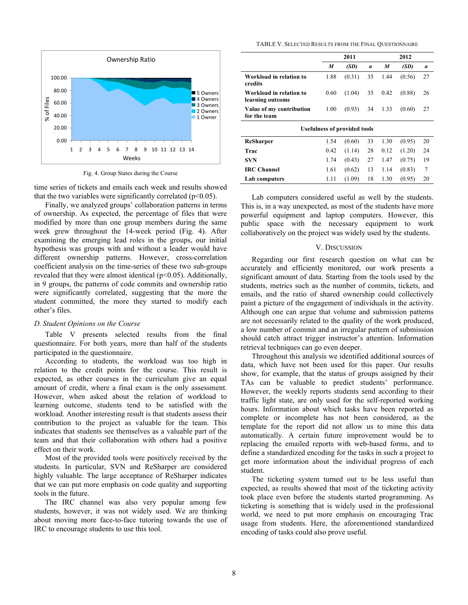

Fig. 4. Group States during the Course

time series of tickets and emails each week and results showed that the two variables were significantly correlated  $(p<0.05)$ .

Finally, we analyzed groups' collaboration patterns in terms of ownership. As expected, the percentage of files that were modified by more than one group members during the same week grew throughout the 14-week period (Fig. 4). After examining the emerging lead roles in the groups, our initial hypothesis was groups with and without a leader would have different ownership patterns. However, cross-correlation coefficient analysis on the time-series of these two sub-groups revealed that they were almost identical (p<0.05). Additionally, in 9 groups, the patterns of code commits and ownership ratio were significantly correlated, suggesting that the more the student committed, the more they started to modify each other's files.

#### *D. Student Opinions on the Course*

Table V presents selected results from the final questionnaire. For both years, more than half of the students participated in the questionnaire.

According to students, the workload was too high in relation to the credit points for the course. This result is expected, as other courses in the curriculum give an equal amount of credit, where a final exam is the only assessment. However, when asked about the relation of workload to learning outcome, students tend to be satisfied with the workload. Another interesting result is that students assess their contribution to the project as valuable for the team. This indicates that students see themselves as a valuable part of the team and that their collaboration with others had a positive effect on their work.

Most of the provided tools were positively received by the students. In particular, SVN and ReSharper are considered highly valuable. The large acceptance of ReSharper indicates that we can put more emphasis on code quality and supporting tools in the future.

The IRC channel was also very popular among few students, however, it was not widely used. We are thinking about moving more face-to-face tutoring towards the use of IRC to encourage students to use this tool.

TABLE V. SELECTED RESULTS FROM THE FINAL QUESTIONNAIRE

|                                             | 2011 |        |    | 2012 |        |    |  |
|---------------------------------------------|------|--------|----|------|--------|----|--|
|                                             | M    | (SD)   | n  | M    | (SD)   | n  |  |
| Workload in relation to<br>credits          | 1.88 | (0.31) | 35 | 1.44 | (0.56) | 27 |  |
| Workload in relation to<br>learning outcome | 0.60 | (1.04) | 35 | 0.42 | (0.88) | 26 |  |
| Value of my contribution<br>for the team    | 1.00 | (0.93) | 34 | 1.33 | (0.60) | 27 |  |
| <b>Usefulness of provided tools</b>         |      |        |    |      |        |    |  |
| ReSharper                                   | 1.54 | (0.60) | 33 | 1.30 | (0.95) | 20 |  |
| Trac                                        | 0.42 | (1.14) | 28 | 0.12 | (1.20) | 24 |  |
| <b>SVN</b>                                  | 1.74 | (0.43) | 27 | 1.47 | (0.75) | 19 |  |
| <b>IRC</b> Channel                          | 1.61 | (0.62) | 13 | 1.14 | (0.83) | 7  |  |
| Lab computers                               | 1.11 | (1.09) | 18 | 1.30 | (0.95) | 20 |  |

Lab computers considered useful as well by the students. This is, in a way unexpected, as most of the students have more powerful equipment and laptop computers. However, this public space with the necessary equipment to work collaboratively on the project was widely used by the students.

## V. DISCUSSION

Regarding our first research question on what can be accurately and efficiently monitored, our work presents a significant amount of data. Starting from the tools used by the students, metrics such as the number of commits, tickets, and emails, and the ratio of shared ownership could collectively paint a picture of the engagement of individuals in the activity. Although one can argue that volume and submission patterns are not necessarily related to the quality of the work produced, a low number of commit and an irregular pattern of submission should catch attract trigger instructor's attention. Information retrieval techniques can go even deeper.

Throughout this analysis we identified additional sources of data, which have not been used for this paper. Our results show, for example, that the status of groups assigned by their TAs can be valuable to predict students' performance. However, the weekly reports students send according to their traffic light state, are only used for the self-reported working hours. Information about which tasks have been reported as complete or incomplete has not been considered, as the template for the report did not allow us to mine this data automatically. A certain future improvement would be to replacing the emailed reports with web-based forms, and to define a standardized encoding for the tasks in such a project to get more information about the individual progress of each student.

The ticketing system turned out to be less useful than expected, as results showed that most of the ticketing activity took place even before the students started programming. As ticketing is something that is widely used in the professional world, we need to put more emphasis on encouraging Trac usage from students. Here, the aforementioned standardized encoding of tasks could also prove useful.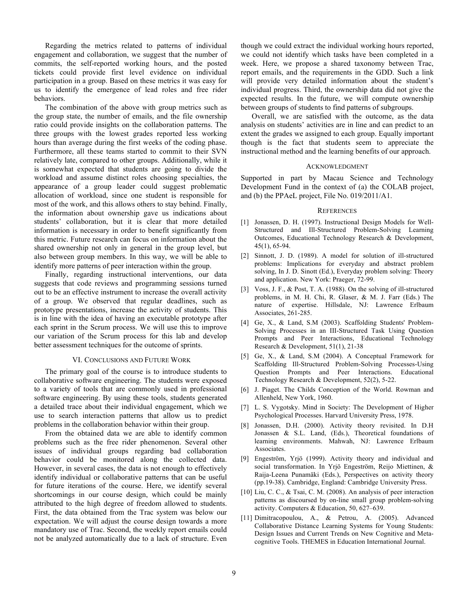Regarding the metrics related to patterns of individual engagement and collaboration, we suggest that the number of commits, the self-reported working hours, and the posted tickets could provide first level evidence on individual participation in a group. Based on these metrics it was easy for us to identify the emergence of lead roles and free rider behaviors.

The combination of the above with group metrics such as the group state, the number of emails, and the file ownership ratio could provide insights on the collaboration patterns. The three groups with the lowest grades reported less working hours than average during the first weeks of the coding phase. Furthermore, all these teams started to commit to their SVN relatively late, compared to other groups. Additionally, while it is somewhat expected that students are going to divide the workload and assume distinct roles choosing specialties, the appearance of a group leader could suggest problematic allocation of workload, since one student is responsible for most of the work, and this allows others to stay behind. Finally, the information about ownership gave us indications about students' collaboration, but it is clear that more detailed information is necessary in order to benefit significantly from this metric. Future research can focus on information about the shared ownership not only in general in the group level, but also between group members. In this way, we will be able to identify more patterns of peer interaction within the group.

Finally, regarding instructional interventions, our data suggests that code reviews and programming sessions turned out to be an effective instrument to increase the overall activity of a group. We observed that regular deadlines, such as prototype presentations, increase the activity of students. This is in line with the idea of having an executable prototype after each sprint in the Scrum process. We will use this to improve our variation of the Scrum process for this lab and develop better assessment techniques for the outcome of sprints.

## VI. CONCLUSIONS AND FUTURE WORK

The primary goal of the course is to introduce students to collaborative software engineering. The students were exposed to a variety of tools that are commonly used in professional software engineering. By using these tools, students generated a detailed trace about their individual engagement, which we use to search interaction patterns that allow us to predict problems in the collaboration behavior within their group.

From the obtained data we are able to identify common problems such as the free rider phenomenon. Several other issues of individual groups regarding bad collaboration behavior could be monitored along the collected data. However, in several cases, the data is not enough to effectively identify individual or collaborative patterns that can be useful for future iterations of the course. Here, we identify several shortcomings in our course design, which could be mainly attributed to the high degree of freedom allowed to students. First, the data obtained from the Trac system was below our expectation. We will adjust the course design towards a more mandatory use of Trac. Second, the weekly report emails could not be analyzed automatically due to a lack of structure. Even

though we could extract the individual working hours reported, we could not identify which tasks have been completed in a week. Here, we propose a shared taxonomy between Trac, report emails, and the requirements in the GDD. Such a link will provide very detailed information about the student's individual progress. Third, the ownership data did not give the expected results. In the future, we will compute ownership between groups of students to find patterns of subgroups.

Overall, we are satisfied with the outcome, as the data analysis on students' activities are in line and can predict to an extent the grades we assigned to each group. Equally important though is the fact that students seem to appreciate the instructional method and the learning benefits of our approach.

#### ACKNOWLEDGMENT

Supported in part by Macau Science and Technology Development Fund in the context of (a) the COLAB project, and (b) the PPAeL project, File No. 019/2011/A1.

#### **REFERENCES**

- [1] Jonassen, D. H. (1997). Instructional Design Models for Well-Structured and Ill-Structured Problem-Solving Learning Outcomes, Educational Technology Research & Development, 45(1), 65-94.
- [2] Sinnott, J. D. (1989). A model for solution of ill-structured problems: Implications for everyday and abstract problem solving, In J. D. Sinott (Ed.), Everyday problem solving: Theory and application. New York: Praeger, 72-99.
- [3] Voss, J. F., & Post, T. A. (1988). On the solving of ill-structured problems, in M. H. Chi, R. Glaser, & M. J. Farr (Eds.) The nature of expertise. Hillsdale, NJ: Lawrence Erlbaum Associates, 261-285.
- [4] Ge, X., & Land, S.M (2003). Scaffolding Students' Problem-Solving Processes in an III-Structured Task Using Question Prompts and Peer Interactions, Educational Technology Research & Development, 51(1), 21-38
- [5] Ge, X., & Land, S.M (2004). A Conceptual Framework for Scaffolding Ill-Structured Problem-Solving Processes-Using Question Prompts and Peer Interactions. Educational Technology Research & Development, 52(2), 5-22.
- [6] J. Piaget. The Childs Conception of the World. Rowman and Allenheld, New York, 1960.
- [7] L. S. Vygotsky. Mind in Society: The Development of Higher Psychological Processes. Harvard University Press, 1978.
- [8] Jonassen, D.H. (2000). Activity theory revisited. In D.H Jonassen & S.L. Land, (Eds.), Theoretical foundations of learning environments. Mahwah, NJ: Lawrence Erlbaum Associates.
- [9] Engeström, Yrjö (1999). Activity theory and individual and social transformation. In Yrjö Engeström, Reijo Miettinen, & Raija-Leena Punamäki (Eds.), Perspectives on activity theory (pp.19-38). Cambridge, England: Cambridge University Press.
- [10] Liu, C. C., & Tsai, C. M. (2008). An analysis of peer interaction patterns as discoursed by on-line small group problem-solving activity. Computers & Education, 50, 627–639.
- [11] Dimitracopoulou, A., & Petrou, A. (2005). Advanced Collaborative Distance Learning Systems for Young Students: Design Issues and Current Trends on New Cognitive and Metacognitive Tools. THEMES in Education International Journal.